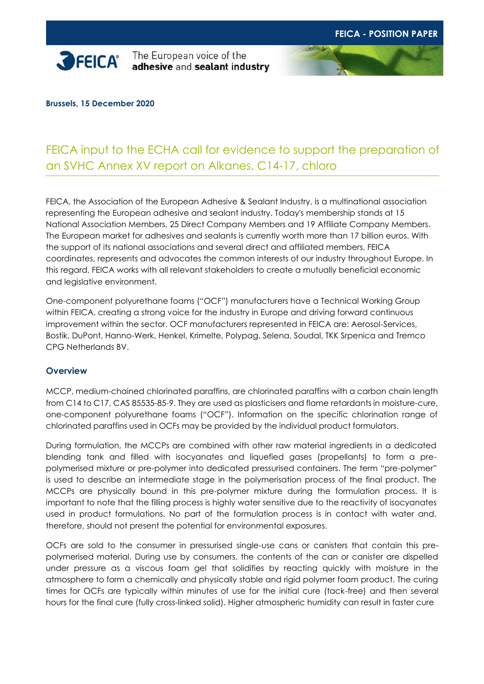

The European voice of the adhesive and sealant industry



# FEICA input to the ECHA call for evidence to support the preparation of an SVHC Annex XV report on Alkanes, C14-17, chloro

FEICA, the Association of the European Adhesive & Sealant Industry, is a multinational association representing the European adhesive and sealant industry. Today's membership stands at 15 National Association Members, 25 Direct Company Members and 19 Affiliate Company Members. The European market for adhesives and sealants is currently worth more than 17 billion euros. With the support of its national associations and several direct and affiliated members, FEICA coordinates, represents and advocates the common interests of our industry throughout Europe. In this regard, FEICA works with all relevant stakeholders to create a mutually beneficial economic and legislative environment.

One-component polyurethane foams ("OCF") manufacturers have a Technical Working Group within FEICA, creating a strong voice for the industry in Europe and driving forward continuous improvement within the sector. OCF manufacturers represented in FEICA are: Aerosol-Services, Bostik, DuPont, Hanno-Werk, Henkel, Krimelte, Polypag, Selena, Soudal, TKK Srpenica and Tremco CPG Netherlands BV.

## **Overview**

MCCP, medium-chained chlorinated paraffins, are chlorinated paraffins with a carbon chain length from C14 to C17, CAS 85535-85-9. They are used as plasticisers and flame retardants in moisture-cure, one-component polyurethane foams ("OCF"). Information on the specific chlorination range of chlorinated paraffins used in OCFs may be provided by the individual product formulators.

During formulation, the MCCPs are combined with other raw material ingredients in a dedicated blending tank and filled with isocyanates and liquefied gases (propellants) to form a prepolymerised mixture or pre-polymer into dedicated pressurised containers. The term "pre-polymer" is used to describe an intermediate stage in the polymerisation process of the final product. The MCCPs are physically bound in this pre-polymer mixture during the formulation process. It is important to note that the filling process is highly water sensitive due to the reactivity of isocyanates used in product formulations. No part of the formulation process is in contact with water and, therefore, should not present the potential for environmental exposures.

OCFs are sold to the consumer in pressurised single-use cans or canisters that contain this prepolymerised material. During use by consumers, the contents of the can or canister are dispelled under pressure as a viscous foam gel that solidifies by reacting quickly with moisture in the atmosphere to form a chemically and physically stable and rigid polymer foam product. The curing times for OCFs are typically within minutes of use for the initial cure (tack-free) and then several hours for the final cure (fully cross-linked solid). Higher atmospheric humidity can result in faster cure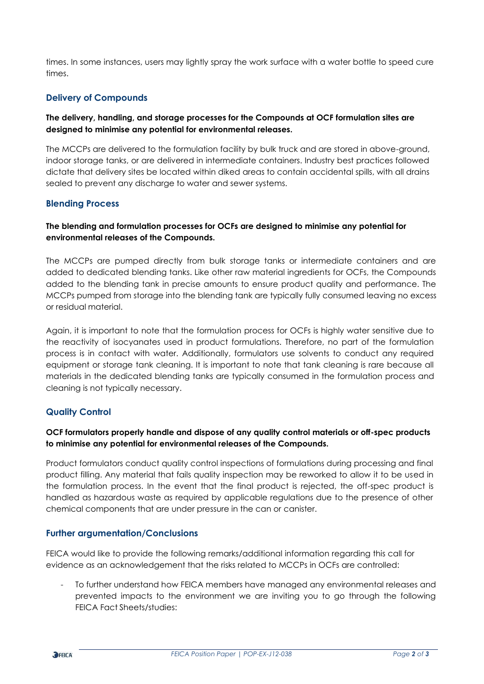times. In some instances, users may lightly spray the work surface with a water bottle to speed cure times.

## **Delivery of Compounds**

## **The delivery, handling, and storage processes for the Compounds at OCF formulation sites are designed to minimise any potential for environmental releases.**

The MCCPs are delivered to the formulation facility by bulk truck and are stored in above-ground, indoor storage tanks, or are delivered in intermediate containers. Industry best practices followed dictate that delivery sites be located within diked areas to contain accidental spills, with all drains sealed to prevent any discharge to water and sewer systems.

## **Blending Process**

## **The blending and formulation processes for OCFs are designed to minimise any potential for environmental releases of the Compounds.**

The MCCPs are pumped directly from bulk storage tanks or intermediate containers and are added to dedicated blending tanks. Like other raw material ingredients for OCFs, the Compounds added to the blending tank in precise amounts to ensure product quality and performance. The MCCPs pumped from storage into the blending tank are typically fully consumed leaving no excess or residual material.

Again, it is important to note that the formulation process for OCFs is highly water sensitive due to the reactivity of isocyanates used in product formulations. Therefore, no part of the formulation process is in contact with water. Additionally, formulators use solvents to conduct any required equipment or storage tank cleaning. It is important to note that tank cleaning is rare because all materials in the dedicated blending tanks are typically consumed in the formulation process and cleaning is not typically necessary.

## **Quality Control**

## **OCF formulators properly handle and dispose of any quality control materials or off-spec products to minimise any potential for environmental releases of the Compounds.**

Product formulators conduct quality control inspections of formulations during processing and final product filling. Any material that fails quality inspection may be reworked to allow it to be used in the formulation process. In the event that the final product is rejected, the off-spec product is handled as hazardous waste as required by applicable regulations due to the presence of other chemical components that are under pressure in the can or canister.

## **Further argumentation/Conclusions**

FEICA would like to provide the following remarks/additional information regarding this call for evidence as an acknowledgement that the risks related to MCCPs in OCFs are controlled:

To further understand how FEICA members have managed any environmental releases and prevented impacts to the environment we are inviting you to go through the following FEICA Fact Sheets/studies: